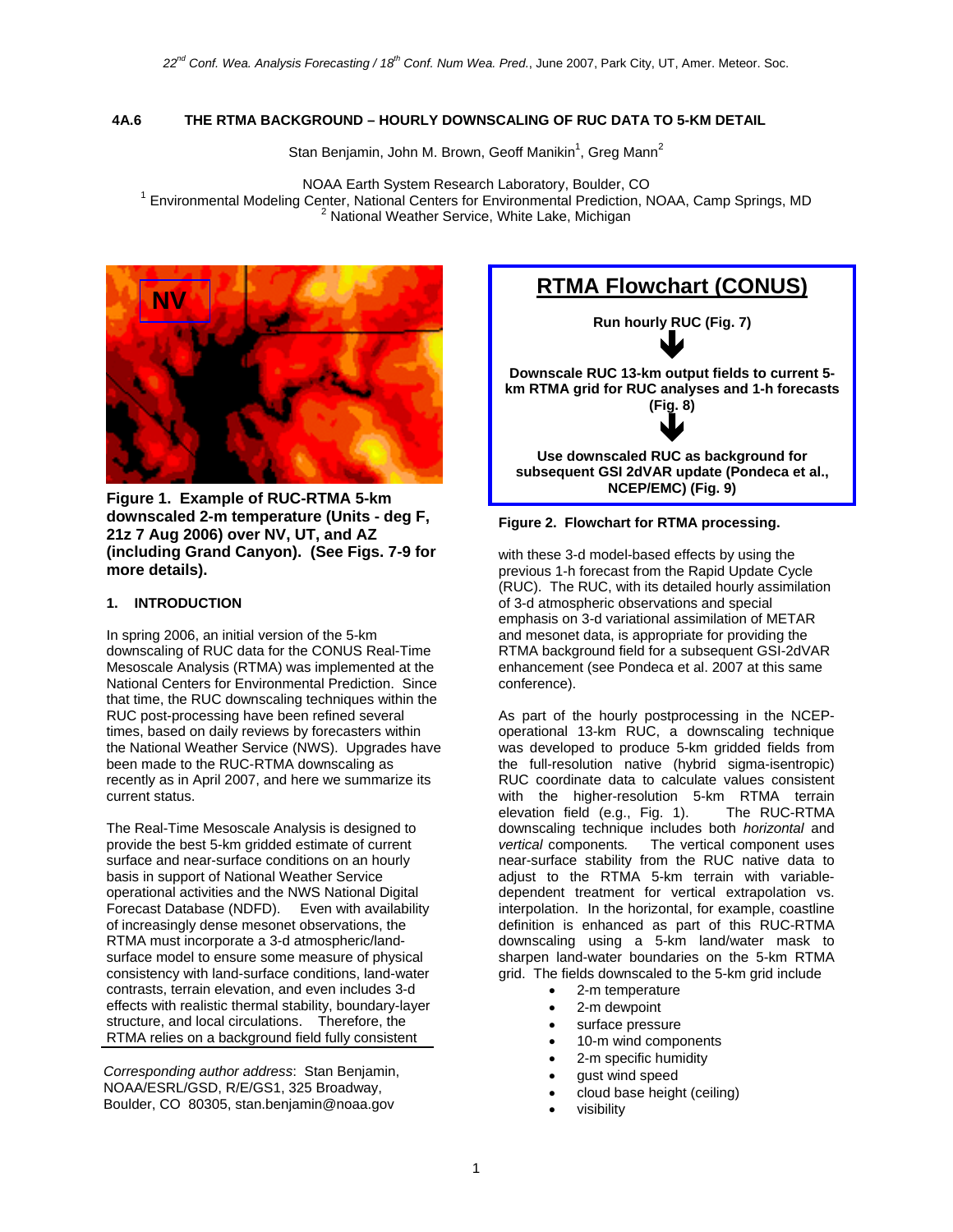### **4A.6 THE RTMA BACKGROUND – HOURLY DOWNSCALING OF RUC DATA TO 5-KM DETAIL**

Stan Benjamin, John M. Brown, Geoff Manikin<sup>1</sup>, Greg Mann<sup>2</sup>

NOAA Earth System Research Laboratory, Boulder, CO<br><sup>1</sup> Environmental Modeling Center, National Centers for Environmental Prodiction, N Environmental Modeling Center, National Centers for Environmental Prediction, NOAA, Camp Springs, MD 2  $2$  National Weather Service, White Lake, Michigan



**Figure 1. Example of RUC-RTMA 5-km downscaled 2-m temperature (Units - deg F, 21z 7 Aug 2006) over NV, UT, and AZ (including Grand Canyon). (See Figs. 7-9 for more details).** 

### **1. INTRODUCTION**

In spring 2006, an initial version of the 5-km downscaling of RUC data for the CONUS Real-Time Mesoscale Analysis (RTMA) was implemented at the National Centers for Environmental Prediction. Since that time, the RUC downscaling techniques within the RUC post-processing have been refined several times, based on daily reviews by forecasters within the National Weather Service (NWS). Upgrades have been made to the RUC-RTMA downscaling as recently as in April 2007, and here we summarize its current status.

The Real-Time Mesoscale Analysis is designed to provide the best 5-km gridded estimate of current surface and near-surface conditions on an hourly basis in support of National Weather Service operational activities and the NWS National Digital Forecast Database (NDFD). Even with availability of increasingly dense mesonet observations, the RTMA must incorporate a 3-d atmospheric/landsurface model to ensure some measure of physical consistency with land-surface conditions, land-water contrasts, terrain elevation, and even includes 3-d effects with realistic thermal stability, boundary-layer structure, and local circulations. Therefore, the RTMA relies on a background field fully consistent

*Corresponding author address*: Stan Benjamin, NOAA/ESRL/GSD, R/E/GS1, 325 Broadway, Boulder, CO 80305, stan.benjamin@noaa.gov



### **Figure 2. Flowchart for RTMA processing.**

with these 3-d model-based effects by using the previous 1-h forecast from the Rapid Update Cycle (RUC). The RUC, with its detailed hourly assimilation of 3-d atmospheric observations and special emphasis on 3-d variational assimilation of METAR and mesonet data, is appropriate for providing the RTMA background field for a subsequent GSI-2dVAR enhancement (see Pondeca et al. 2007 at this same conference).

As part of the hourly postprocessing in the NCEPoperational 13-km RUC, a downscaling technique was developed to produce 5-km gridded fields from the full-resolution native (hybrid sigma-isentropic) RUC coordinate data to calculate values consistent with the higher-resolution 5-km RTMA terrain<br>elevation field (e.g., Fig. 1). The RUC-RTMA elevation field (e.g., Fig. 1). downscaling technique includes both *horizontal* and *vertical* components*.* The vertical component uses near-surface stability from the RUC native data to adjust to the RTMA 5-km terrain with variabledependent treatment for vertical extrapolation vs. interpolation. In the horizontal, for example, coastline definition is enhanced as part of this RUC-RTMA downscaling using a 5-km land/water mask to sharpen land-water boundaries on the 5-km RTMA grid. The fields downscaled to the 5-km grid include

- 2-m temperature
- 2-m dewpoint
- surface pressure
- 10-m wind components
- 2-m specific humidity
- gust wind speed
- cloud base height (ceiling)
- visibility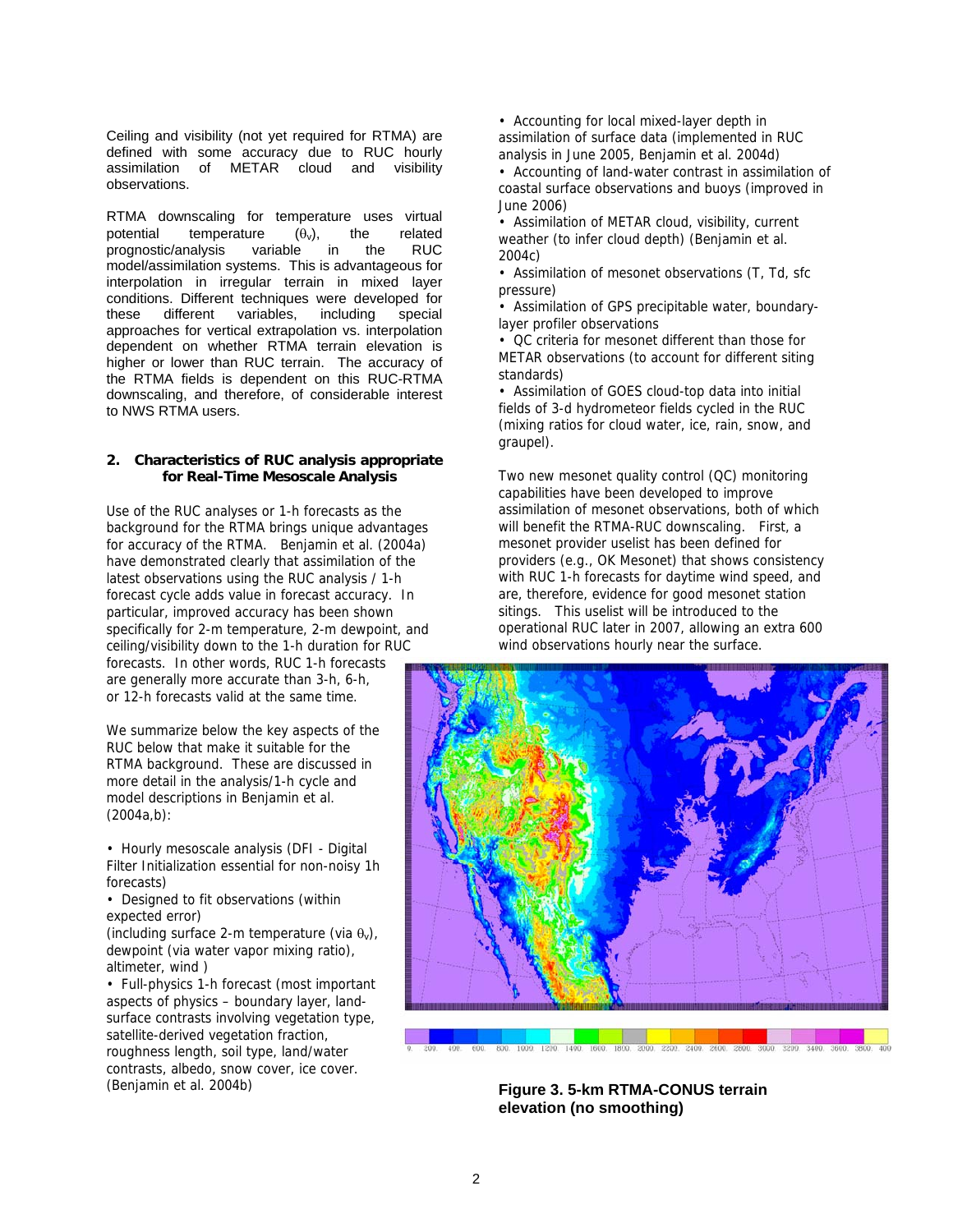Ceiling and visibility (not yet required for RTMA) are defined with some accuracy due to RUC hourly assimilation of METAR cloud and visibility observations.

RTMA downscaling for temperature uses virtual potential temperature  $(\theta_v)$ , the related<br>prognostic/analysis variable in the RUC prognostic/analysis variable in the model/assimilation systems. This is advantageous for interpolation in irregular terrain in mixed layer conditions. Different techniques were developed for<br>these different variables, including special variables, including special approaches for vertical extrapolation vs. interpolation dependent on whether RTMA terrain elevation is higher or lower than RUC terrain. The accuracy of the RTMA fields is dependent on this RUC-RTMA downscaling, and therefore, of considerable interest to NWS RTMA users.

#### **2. Characteristics of RUC analysis appropriate for Real-Time Mesoscale Analysis**

Use of the RUC analyses or 1-h forecasts as the background for the RTMA brings unique advantages for accuracy of the RTMA. Benjamin et al. (2004a) have demonstrated clearly that assimilation of the latest observations using the RUC analysis / 1-h forecast cycle adds value in forecast accuracy. In particular, improved accuracy has been shown specifically for 2-m temperature, 2-m dewpoint, and ceiling/visibility down to the 1-h duration for RUC forecasts. In other words, RUC 1-h forecasts are generally more accurate than 3-h, 6-h, or 12-h forecasts valid at the same time.

We summarize below the key aspects of the RUC below that make it suitable for the RTMA background. These are discussed in more detail in the analysis/1-h cycle and model descriptions in Benjamin et al. (2004a,b):

• Hourly mesoscale analysis (DFI - Digital Filter Initialization essential for non-noisy 1h forecasts)

• Designed to fit observations (within expected error)

(including surface 2-m temperature (via  $\theta_v$ ), dewpoint (via water vapor mixing ratio), altimeter, wind )

• Full-physics 1-h forecast (most important aspects of physics – boundary layer, landsurface contrasts involving vegetation type, satellite-derived vegetation fraction, roughness length, soil type, land/water contrasts, albedo, snow cover, ice cover. (Benjamin et al. 2004b)

• Accounting for local mixed-layer depth in assimilation of surface data (implemented in RUC analysis in June 2005, Benjamin et al. 2004d)

• Accounting of land-water contrast in assimilation of coastal surface observations and buoys (improved in June 2006)

• Assimilation of METAR cloud, visibility, current weather (to infer cloud depth) (Benjamin et al. 2004c)

• Assimilation of mesonet observations (T, Td, sfc pressure)

• Assimilation of GPS precipitable water, boundarylayer profiler observations

• QC criteria for mesonet different than those for METAR observations (to account for different siting standards)

• Assimilation of GOES cloud-top data into initial fields of 3-d hydrometeor fields cycled in the RUC (mixing ratios for cloud water, ice, rain, snow, and graupel).

Two new mesonet quality control (QC) monitoring capabilities have been developed to improve assimilation of mesonet observations, both of which will benefit the RTMA-RUC downscaling. First, a mesonet provider uselist has been defined for providers (e.g., OK Mesonet) that shows consistency with RUC 1-h forecasts for daytime wind speed, and are, therefore, evidence for good mesonet station sitings. This uselist will be introduced to the operational RUC later in 2007, allowing an extra 600 wind observations hourly near the surface.



**Figure 3. 5-km RTMA-CONUS terrain elevation (no smoothing)**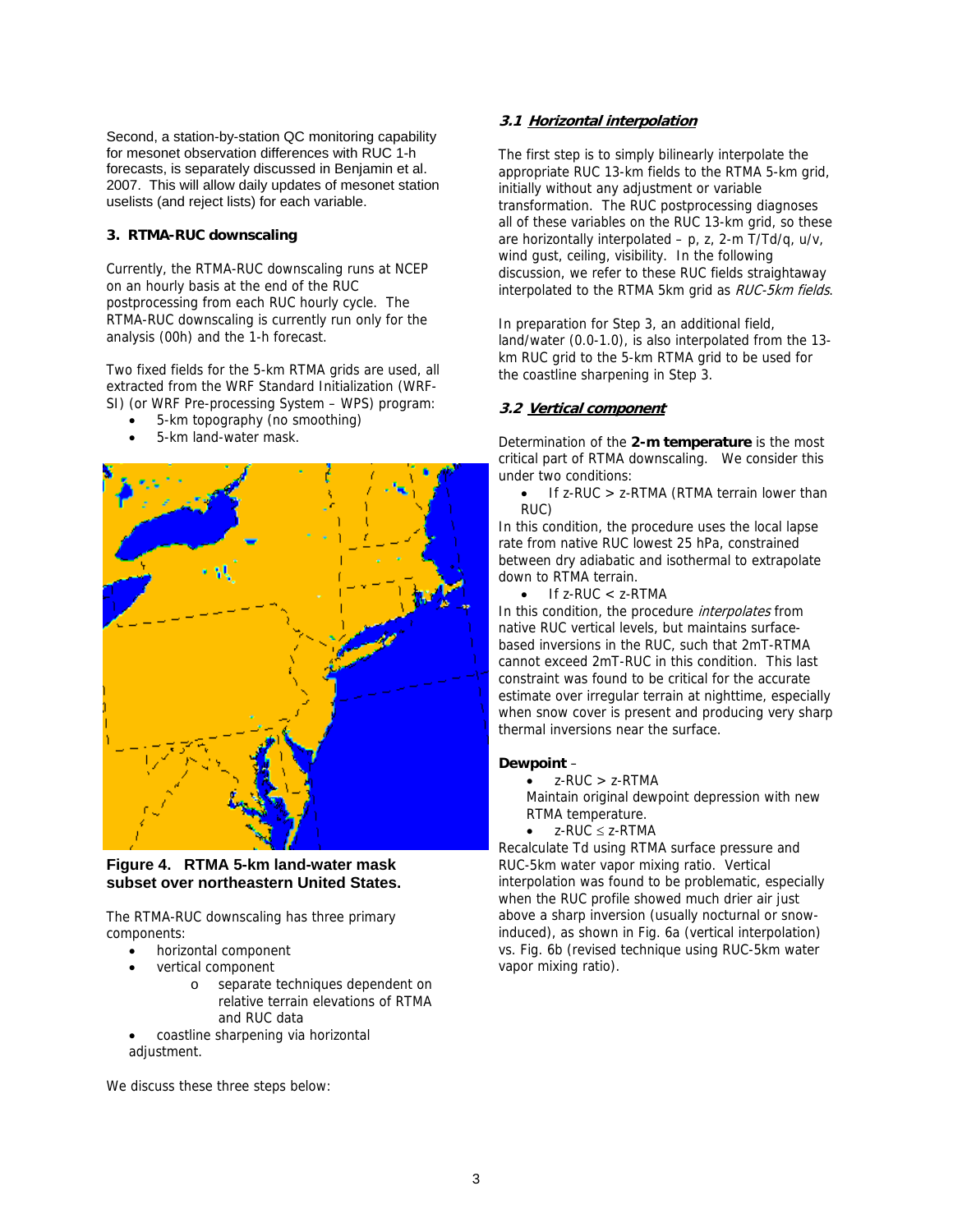Second, a station-by-station QC monitoring capability for mesonet observation differences with RUC 1-h forecasts, is separately discussed in Benjamin et al. 2007. This will allow daily updates of mesonet station uselists (and reject lists) for each variable.

## **3. RTMA-RUC downscaling**

Currently, the RTMA-RUC downscaling runs at NCEP on an hourly basis at the end of the RUC postprocessing from each RUC hourly cycle. The RTMA-RUC downscaling is currently run only for the analysis (00h) and the 1-h forecast.

Two fixed fields for the 5-km RTMA grids are used, all extracted from the WRF Standard Initialization (WRF-SI) (or WRF Pre-processing System – WPS) program:

- 5-km topography (no smoothing)
- 5-km land-water mask.



**Figure 4. RTMA 5-km land-water mask subset over northeastern United States.** 

The RTMA-RUC downscaling has three primary components:

- horizontal component
- vertical component
	- o separate techniques dependent on relative terrain elevations of RTMA and RUC data
- coastline sharpening via horizontal adjustment.

We discuss these three steps below:

# **3.1 Horizontal interpolation**

The first step is to simply bilinearly interpolate the appropriate RUC 13-km fields to the RTMA 5-km grid, initially without any adjustment or variable transformation. The RUC postprocessing diagnoses all of these variables on the RUC 13-km grid, so these are horizontally interpolated  $- p$ , z, 2-m T/Td/q, u/v, wind gust, ceiling, visibility. In the following discussion, we refer to these RUC fields straightaway interpolated to the RTMA 5km grid as RUC-5km fields.

In preparation for Step 3, an additional field, land/water (0.0-1.0), is also interpolated from the 13 km RUC grid to the 5-km RTMA grid to be used for the coastline sharpening in Step 3.

# **3.2 Vertical component**

Determination of the **2-m temperature** is the most critical part of RTMA downscaling. We consider this under two conditions:

• If z-RUC > z-RTMA (RTMA terrain lower than RUC)

In this condition, the procedure uses the local lapse rate from native RUC lowest 25 hPa, constrained between dry adiabatic and isothermal to extrapolate down to RTMA terrain.

If  $z$ -RUC  $<$   $z$ -RTMA

In this condition, the procedure *interpolates* from native RUC vertical levels, but maintains surfacebased inversions in the RUC, such that 2mT-RTMA cannot exceed 2mT-RUC in this condition. This last constraint was found to be critical for the accurate estimate over irregular terrain at nighttime, especially when snow cover is present and producing very sharp thermal inversions near the surface.

### **Dewpoint** –

• z-RUC > z-RTMA

Maintain original dewpoint depression with new RTMA temperature.

 $\bullet$  z-RUC  $\leq$  z-RTMA

Recalculate Td using RTMA surface pressure and RUC-5km water vapor mixing ratio. Vertical interpolation was found to be problematic, especially when the RUC profile showed much drier air just above a sharp inversion (usually nocturnal or snowinduced), as shown in Fig. 6a (vertical interpolation) vs. Fig. 6b (revised technique using RUC-5km water vapor mixing ratio).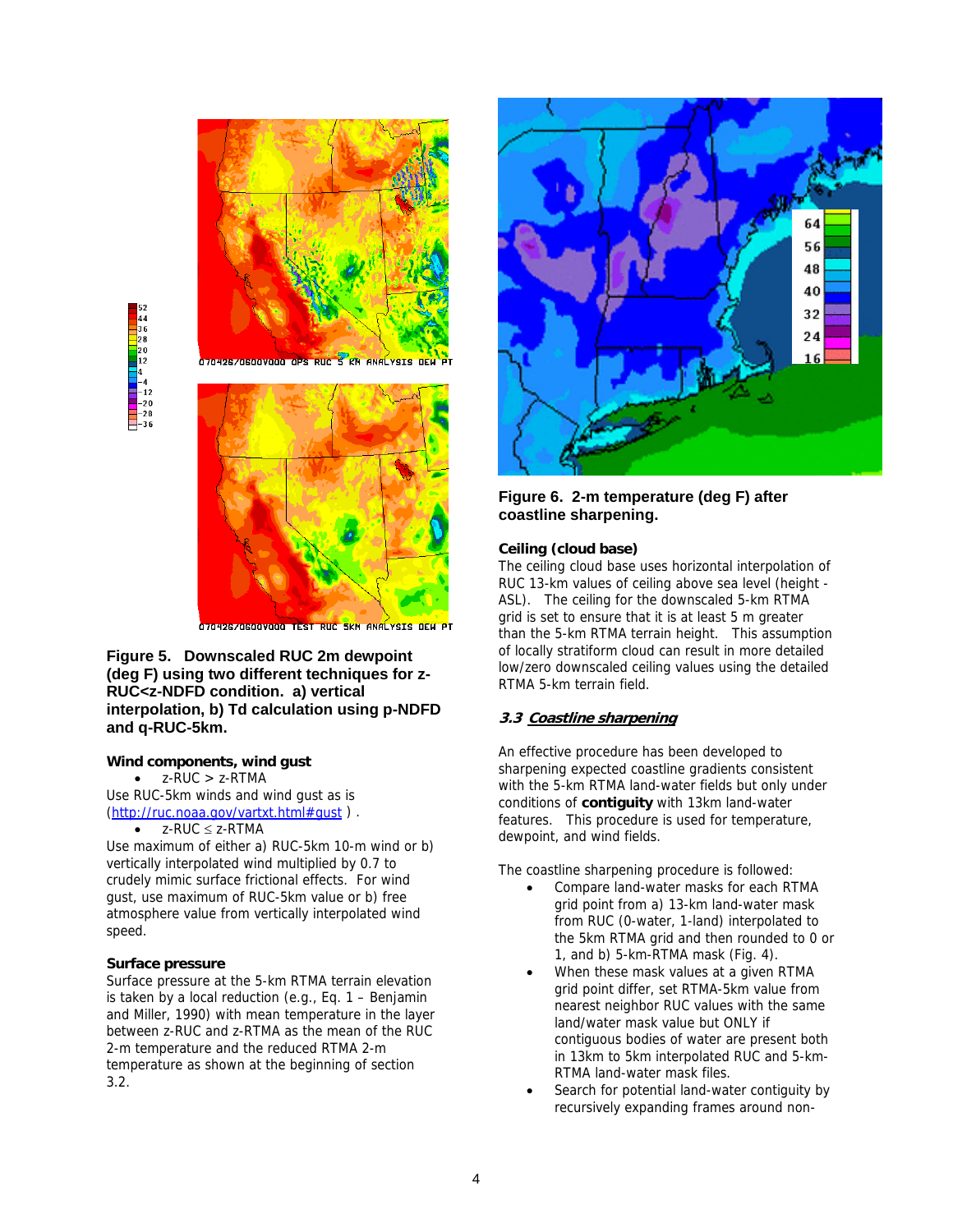

S KN ANALYSIS DE 17042670600VOOO OPS



07042670600V000 TEST RUC SKM ANALYSIS DEW PT

### **Figure 5. Downscaled RUC 2m dewpoint (deg F) using two different techniques for z-RUC<z-NDFD condition. a) vertical interpolation, b) Td calculation using p-NDFD and q-RUC-5km.**

# **Wind components, wind gust**

 $\bullet$  z-RUC > z-RTMA

Use RUC-5km winds and wind gust as is (http://ruc.noaa.gov/vartxt.html#gust ) .  $z$ -RUC  $\leq$  z-RTMA

Use maximum of either a) RUC-5km 10-m wind or b) vertically interpolated wind multiplied by 0.7 to crudely mimic surface frictional effects. For wind gust, use maximum of RUC-5km value or b) free atmosphere value from vertically interpolated wind speed.

### **Surface pressure**

Surface pressure at the 5-km RTMA terrain elevation is taken by a local reduction (e.g., Eq. 1 – Benjamin and Miller, 1990) with mean temperature in the layer between z-RUC and z-RTMA as the mean of the RUC 2-m temperature and the reduced RTMA 2-m temperature as shown at the beginning of section 3.2.



# **Figure 6. 2-m temperature (deg F) after coastline sharpening.**

#### **Ceiling (cloud base)**

The ceiling cloud base uses horizontal interpolation of RUC 13-km values of ceiling above sea level (height - ASL). The ceiling for the downscaled 5-km RTMA grid is set to ensure that it is at least 5 m greater than the 5-km RTMA terrain height. This assumption of locally stratiform cloud can result in more detailed low/zero downscaled ceiling values using the detailed RTMA 5-km terrain field.

### **3.3 Coastline sharpening**

An effective procedure has been developed to sharpening expected coastline gradients consistent with the 5-km RTMA land-water fields but only under conditions of **contiguity** with 13km land-water features. This procedure is used for temperature, dewpoint, and wind fields.

The coastline sharpening procedure is followed:

- Compare land-water masks for each RTMA grid point from a) 13-km land-water mask from RUC (0-water, 1-land) interpolated to the 5km RTMA grid and then rounded to 0 or 1, and b) 5-km-RTMA mask (Fig. 4).
- When these mask values at a given RTMA grid point differ, set RTMA-5km value from nearest neighbor RUC values with the same land/water mask value but ONLY if contiguous bodies of water are present both in 13km to 5km interpolated RUC and 5-km-RTMA land-water mask files.
- Search for potential land-water contiguity by recursively expanding frames around non-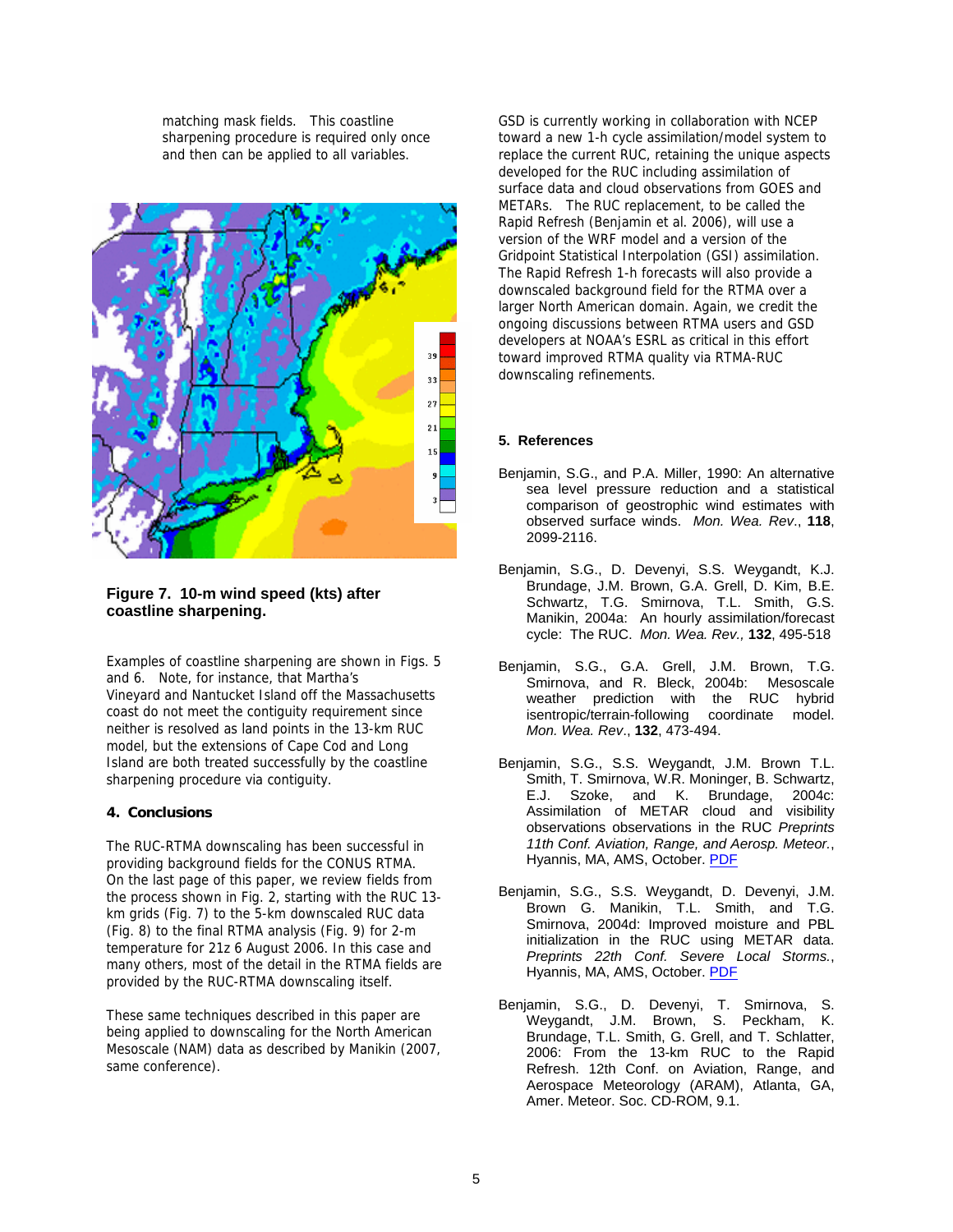matching mask fields. This coastline sharpening procedure is required only once and then can be applied to all variables.



# **Figure 7. 10-m wind speed (kts) after coastline sharpening.**

Examples of coastline sharpening are shown in Figs. 5 and 6. Note, for instance, that Martha's Vineyard and Nantucket Island off the Massachusetts coast do not meet the contiguity requirement since neither is resolved as land points in the 13-km RUC model, but the extensions of Cape Cod and Long Island are both treated successfully by the coastline sharpening procedure via contiguity.

### **4. Conclusions**

The RUC-RTMA downscaling has been successful in providing background fields for the CONUS RTMA. On the last page of this paper, we review fields from the process shown in Fig. 2, starting with the RUC 13 km grids (Fig. 7) to the 5-km downscaled RUC data (Fig. 8) to the final RTMA analysis (Fig. 9) for 2-m temperature for 21z 6 August 2006. In this case and many others, most of the detail in the RTMA fields are provided by the RUC-RTMA downscaling itself.

These same techniques described in this paper are being applied to downscaling for the North American Mesoscale (NAM) data as described by Manikin (2007, same conference).

GSD is currently working in collaboration with NCEP toward a new 1-h cycle assimilation/model system to replace the current RUC, retaining the unique aspects developed for the RUC including assimilation of surface data and cloud observations from GOES and METARs. The RUC replacement, to be called the Rapid Refresh (Benjamin et al. 2006), will use a version of the WRF model and a version of the Gridpoint Statistical Interpolation (GSI) assimilation. The Rapid Refresh 1-h forecasts will also provide a downscaled background field for the RTMA over a larger North American domain. Again, we credit the ongoing discussions between RTMA users and GSD developers at NOAA's ESRL as critical in this effort toward improved RTMA quality via RTMA-RUC downscaling refinements.

### **5. References**

- Benjamin, S.G., and P.A. Miller, 1990: An alternative sea level pressure reduction and a statistical comparison of geostrophic wind estimates with observed surface winds. *Mon. Wea. Rev*., **118**, 2099-2116.
- Benjamin, S.G., D. Devenyi, S.S. Weygandt, K.J. Brundage, J.M. Brown, G.A. Grell, D. Kim, B.E. Schwartz, T.G. Smirnova, T.L. Smith, G.S. Manikin, 2004a: An hourly assimilation/forecast cycle: The RUC. *Mon. Wea. Rev.,* **132**, 495-518
- Benjamin, S.G., G.A. Grell, J.M. Brown, T.G. Smirnova, and R. Bleck, 2004b: Mesoscale weather prediction with the RUC hybrid isentropic/terrain-following coordinate model. *Mon. Wea. Rev*., **132**, 473-494.
- Benjamin, S.G., S.S. Weygandt, J.M. Brown T.L. Smith, T. Smirnova, W.R. Moninger, B. Schwartz, E.J. Szoke, and K. Brundage, 2004c: Assimilation of METAR cloud and visibility observations observations in the RUC *Preprints 11th Conf. Aviation, Range, and Aerosp. Meteor.*, Hyannis, MA, AMS, October. PDF
- Benjamin, S.G., S.S. Weygandt, D. Devenyi, J.M. Brown G. Manikin, T.L. Smith, and T.G. Smirnova, 2004d: Improved moisture and PBL initialization in the RUC using METAR data. *Preprints 22th Conf. Severe Local Storms.*, Hyannis, MA, AMS, October. PDF
- Benjamin, S.G., D. Devenyi, T. Smirnova, S. Weygandt, J.M. Brown, S. Peckham, K. Brundage, T.L. Smith, G. Grell, and T. Schlatter, 2006: From the 13-km RUC to the Rapid Refresh. 12th Conf. on Aviation, Range, and Aerospace Meteorology (ARAM), Atlanta, GA, Amer. Meteor. Soc. CD-ROM, 9.1.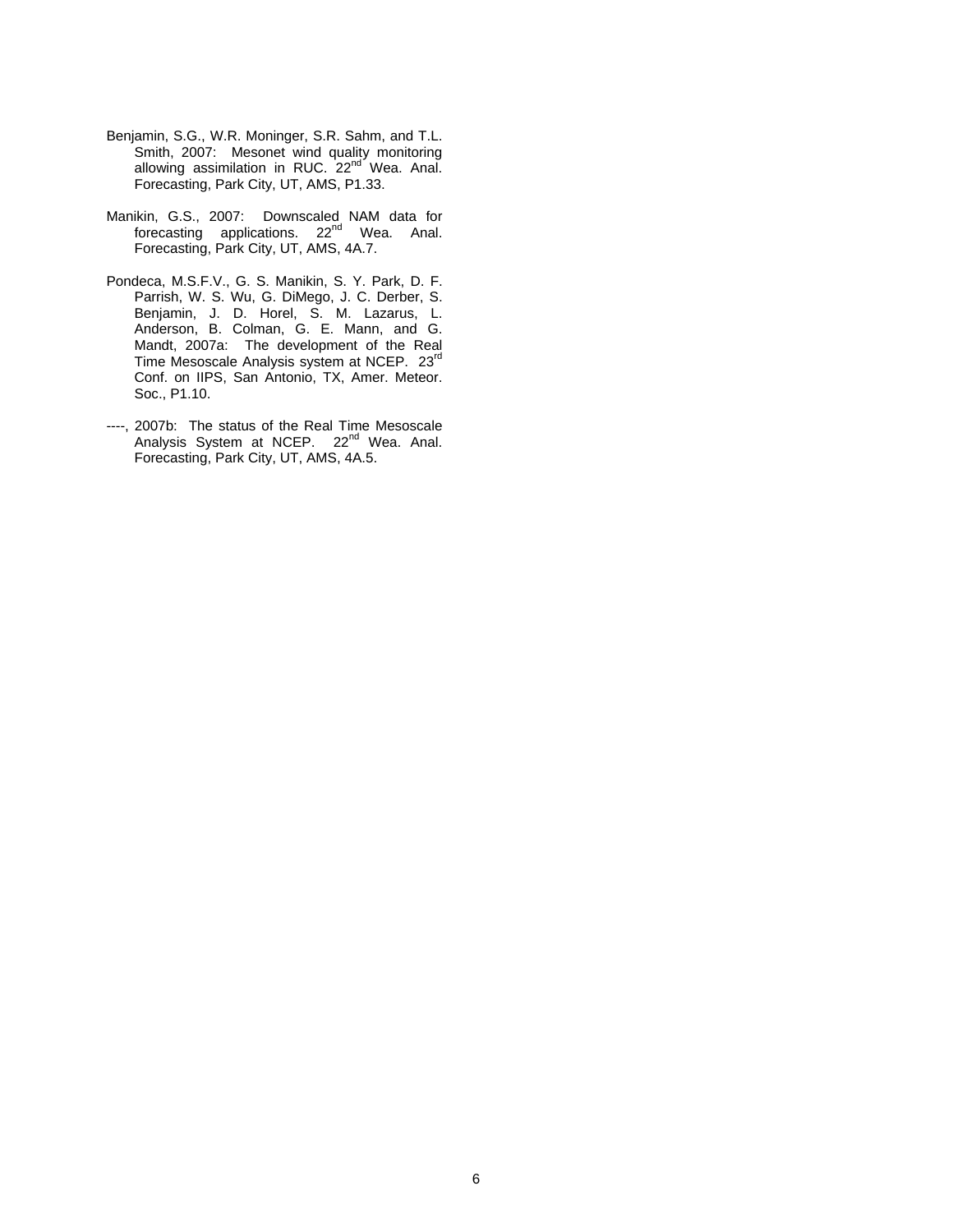- Benjamin, S.G., W.R. Moninger, S.R. Sahm, and T.L. Smith, 2007: Mesonet wind quality monitoring allowing assimilation in RUC. 22<sup>nd</sup> Wea. Anal. Forecasting, Park City, UT, AMS, P1.33.
- Manikin, G.S., 2007: Downscaled NAM data for forecasting applications. 22<sup>nd</sup> Wea. Anal. Forecasting, Park City, UT, AMS, 4A.7.
- Pondeca, M.S.F.V., G. S. Manikin, S. Y. Park, D. F. Parrish, W. S. Wu, G. DiMego, J. C. Derber, S. Benjamin, J. D. Horel, S. M. Lazarus, L. Anderson, B. Colman, G. E. Mann, and G. Mandt, 2007a: The development of the Real Time Mesoscale Analysis system at NCEP. 23rd Conf. on IIPS, San Antonio, TX, Amer. Meteor. Soc., P1.10.
- ----, 2007b: The status of the Real Time Mesoscale Analysis System at NCEP. 22<sup>nd</sup> Wea. Anal. Forecasting, Park City, UT, AMS, 4A.5.